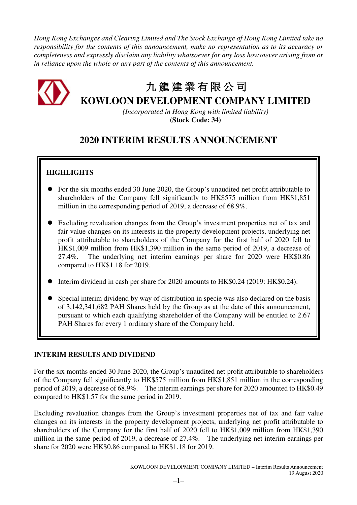*Hong Kong Exchanges and Clearing Limited and The Stock Exchange of Hong Kong Limited take no responsibility for the contents of this announcement, make no representation as to its accuracy or completeness and expressly disclaim any liability whatsoever for any loss howsoever arising from or in reliance upon the whole or any part of the contents of this announcement.* 



# 九 龍建業有限公司

**KOWLOON DEVELOPMENT COMPANY LIMITED** 

*(Incorporated in Hong Kong with limited liability)*  **(Stock Code: 34)** 

# **2020 INTERIM RESULTS ANNOUNCEMENT**

# **HIGHLIGHTS**

- For the six months ended 30 June 2020, the Group's unaudited net profit attributable to shareholders of the Company fell significantly to HK\$575 million from HK\$1,851 million in the corresponding period of 2019, a decrease of 68.9%.
- Excluding revaluation changes from the Group's investment properties net of tax and fair value changes on its interests in the property development projects, underlying net profit attributable to shareholders of the Company for the first half of 2020 fell to HK\$1,009 million from HK\$1,390 million in the same period of 2019, a decrease of 27.4%. The underlying net interim earnings per share for 2020 were HK\$0.86 compared to HK\$1.18 for 2019.
- Interim dividend in cash per share for 2020 amounts to HK\$0.24 (2019: HK\$0.24).
- Special interim dividend by way of distribution in specie was also declared on the basis of 3,142,341,682 PAH Shares held by the Group as at the date of this announcement, pursuant to which each qualifying shareholder of the Company will be entitled to 2.67 PAH Shares for every 1 ordinary share of the Company held.

# **INTERIM RESULTS AND DIVIDEND**

For the six months ended 30 June 2020, the Group's unaudited net profit attributable to shareholders of the Company fell significantly to HK\$575 million from HK\$1,851 million in the corresponding period of 2019, a decrease of 68.9%. The interim earnings per share for 2020 amounted to HK\$0.49 compared to HK\$1.57 for the same period in 2019.

Excluding revaluation changes from the Group's investment properties net of tax and fair value changes on its interests in the property development projects, underlying net profit attributable to shareholders of the Company for the first half of 2020 fell to HK\$1,009 million from HK\$1,390 million in the same period of 2019, a decrease of 27.4%. The underlying net interim earnings per share for 2020 were HK\$0.86 compared to HK\$1.18 for 2019.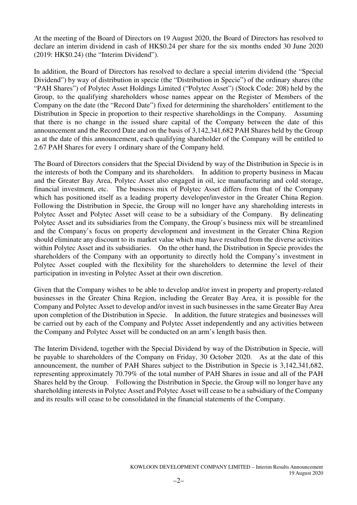At the meeting of the Board of Directors on 19 August 2020, the Board of Directors has resolved to declare an interim dividend in cash of HK\$0.24 per share for the six months ended 30 June 2020 (2019: HK\$0.24) (the "Interim Dividend").

In addition, the Board of Directors has resolved to declare a special interim dividend (the "Special Dividend") by way of distribution in specie (the "Distribution in Specie") of the ordinary shares (the "PAH Shares") of Polytec Asset Holdings Limited ("Polytec Asset") (Stock Code: 208) held by the Group, to the qualifying shareholders whose names appear on the Register of Members of the Company on the date (the "Record Date") fixed for determining the shareholders' entitlement to the Distribution in Specie in proportion to their respective shareholdings in the Company. Assuming that there is no change in the issued share capital of the Company between the date of this announcement and the Record Date and on the basis of 3,142,341,682 PAH Shares held by the Group as at the date of this announcement, each qualifying shareholder of the Company will be entitled to 2.67 PAH Shares for every 1 ordinary share of the Company held.

The Board of Directors considers that the Special Dividend by way of the Distribution in Specie is in the interests of both the Company and its shareholders. In addition to property business in Macau and the Greater Bay Area, Polytec Asset also engaged in oil, ice manufacturing and cold storage, financial investment, etc. The business mix of Polytec Asset differs from that of the Company which has positioned itself as a leading property developer/investor in the Greater China Region. Following the Distribution in Specie, the Group will no longer have any shareholding interests in Polytec Asset and Polytec Asset will cease to be a subsidiary of the Company. By delineating Polytec Asset and its subsidiaries from the Company, the Group's business mix will be streamlined and the Company's focus on property development and investment in the Greater China Region should eliminate any discount to its market value which may have resulted from the diverse activities within Polytec Asset and its subsidiaries. On the other hand, the Distribution in Specie provides the shareholders of the Company with an opportunity to directly hold the Company's investment in Polytec Asset coupled with the flexibility for the shareholders to determine the level of their participation in investing in Polytec Asset at their own discretion.

Given that the Company wishes to be able to develop and/or invest in property and property-related businesses in the Greater China Region, including the Greater Bay Area, it is possible for the Company and Polytec Asset to develop and/or invest in such businesses in the same Greater Bay Area upon completion of the Distribution in Specie. In addition, the future strategies and businesses will be carried out by each of the Company and Polytec Asset independently and any activities between the Company and Polytec Asset will be conducted on an arm's length basis then.

The Interim Dividend, together with the Special Dividend by way of the Distribution in Specie, will be payable to shareholders of the Company on Friday, 30 October 2020. As at the date of this announcement, the number of PAH Shares subject to the Distribution in Specie is 3,142,341,682, representing approximately 70.79% of the total number of PAH Shares in issue and all of the PAH Shares held by the Group. Following the Distribution in Specie, the Group will no longer have any shareholding interests in Polytec Asset and Polytec Asset will cease to be a subsidiary of the Company and its results will cease to be consolidated in the financial statements of the Company.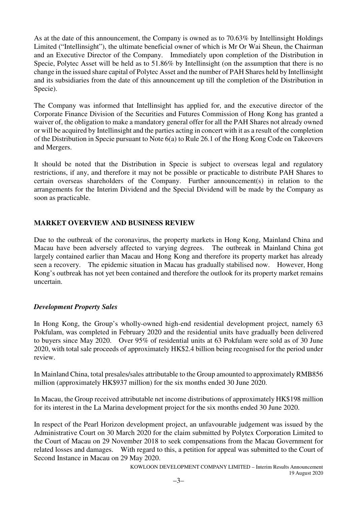As at the date of this announcement, the Company is owned as to 70.63% by Intellinsight Holdings Limited ("Intellinsight"), the ultimate beneficial owner of which is Mr Or Wai Sheun, the Chairman and an Executive Director of the Company. Immediately upon completion of the Distribution in Specie, Polytec Asset will be held as to 51.86% by Intellinsight (on the assumption that there is no change in the issued share capital of Polytec Asset and the number of PAH Shares held by Intellinsight and its subsidiaries from the date of this announcement up till the completion of the Distribution in Specie).

The Company was informed that Intellinsight has applied for, and the executive director of the Corporate Finance Division of the Securities and Futures Commission of Hong Kong has granted a waiver of, the obligation to make a mandatory general offer for all the PAH Shares not already owned or will be acquired by Intellinsight and the parties acting in concert with it as a result of the completion of the Distribution in Specie pursuant to Note 6(a) to Rule 26.1 of the Hong Kong Code on Takeovers and Mergers.

It should be noted that the Distribution in Specie is subject to overseas legal and regulatory restrictions, if any, and therefore it may not be possible or practicable to distribute PAH Shares to certain overseas shareholders of the Company. Further announcement(s) in relation to the arrangements for the Interim Dividend and the Special Dividend will be made by the Company as soon as practicable.

# **MARKET OVERVIEW AND BUSINESS REVIEW**

Due to the outbreak of the coronavirus, the property markets in Hong Kong, Mainland China and Macau have been adversely affected to varying degrees. The outbreak in Mainland China got largely contained earlier than Macau and Hong Kong and therefore its property market has already seen a recovery. The epidemic situation in Macau has gradually stabilised now. However, Hong Kong's outbreak has not yet been contained and therefore the outlook for its property market remains uncertain.

# *Development Property Sales*

In Hong Kong, the Group's wholly-owned high-end residential development project, namely 63 Pokfulam, was completed in February 2020 and the residential units have gradually been delivered to buyers since May 2020. Over 95% of residential units at 63 Pokfulam were sold as of 30 June 2020, with total sale proceeds of approximately HK\$2.4 billion being recognised for the period under review.

In Mainland China, total presales/sales attributable to the Group amounted to approximately RMB856 million (approximately HK\$937 million) for the six months ended 30 June 2020.

In Macau, the Group received attributable net income distributions of approximately HK\$198 million for its interest in the La Marina development project for the six months ended 30 June 2020.

In respect of the Pearl Horizon development project, an unfavourable judgement was issued by the Administrative Court on 30 March 2020 for the claim submitted by Polytex Corporation Limited to the Court of Macau on 29 November 2018 to seek compensations from the Macau Government for related losses and damages. With regard to this, a petition for appeal was submitted to the Court of Second Instance in Macau on 29 May 2020.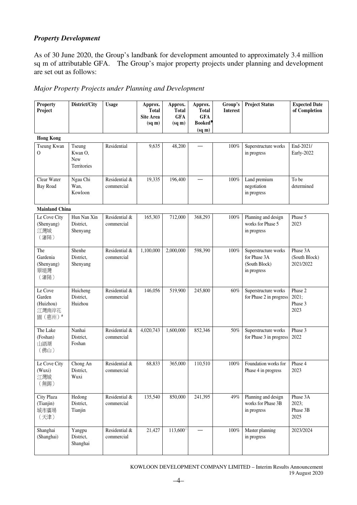# *Property Development*

As of 30 June 2020, the Group's landbank for development amounted to approximately 3.4 million sq m of attributable GFA. The Group's major property projects under planning and development are set out as follows:

### *Major Property Projects under Planning and Development*

| <b>Property</b><br>Project                        | District/City                                  | <b>Usage</b>                | Approx.<br><b>Total</b><br><b>Site Area</b><br>$(sq \, m)$ | Approx.<br><b>Total</b><br><b>GFA</b><br>(sq m) | Approx.<br><b>Total</b><br><b>GFA</b><br>Booked <sup>3</sup><br>(sq m) | Group's<br><b>Interest</b> | <b>Project Status</b>                                                | <b>Expected Date</b><br>of Completion  |
|---------------------------------------------------|------------------------------------------------|-----------------------------|------------------------------------------------------------|-------------------------------------------------|------------------------------------------------------------------------|----------------------------|----------------------------------------------------------------------|----------------------------------------|
| <b>Hong Kong</b>                                  |                                                |                             |                                                            |                                                 |                                                                        |                            |                                                                      |                                        |
| Tseung Kwan<br>$\mathbf{O}$                       | Tseung<br>Kwan O,<br><b>New</b><br>Territories | Residential                 | 9,635                                                      | 48,200                                          |                                                                        | 100%                       | Superstructure works<br>in progress                                  | End-2021/<br>Early-2022                |
| Clear Water<br><b>Bay Road</b>                    | Ngau Chi<br>Wan,<br>Kowloon                    | Residential &<br>commercial | 19,335                                                     | 196,400                                         |                                                                        | 100%                       | Land premium<br>negotiation<br>in progress                           | To be<br>determined                    |
| <b>Mainland China</b>                             |                                                |                             |                                                            |                                                 |                                                                        |                            |                                                                      |                                        |
| Le Cove City<br>(Shenyang)<br>江灣城<br>(瀋陽)         | Hun Nan Xin<br>District,<br>Shenyang           | Residential &<br>commercial | 165,303                                                    | 712,000                                         | 368,293                                                                | 100%                       | Planning and design<br>works for Phase 5<br>in progress              | Phase 5<br>2023                        |
| The<br>Gardenia<br>(Shenyang)<br>翠堤灣<br>(瀋陽)      | Shenhe<br>District,<br>Shenyang                | Residential &<br>commercial | 1,100,000                                                  | 2,000,000                                       | 598,390                                                                | 100%                       | Superstructure works<br>for Phase 3A<br>(South Block)<br>in progress | Phase 3A<br>(South Block)<br>2021/2022 |
| Le Cove<br>Garden<br>(Huizhou)<br>江灣南岸花<br>園(惠州)# | Huicheng<br>District,<br>Huizhou               | Residential &<br>commercial | 146,056                                                    | 519,900                                         | 245,800                                                                | 60%                        | Superstructure works<br>for Phase 2 in progress                      | Phase 2<br>2021;<br>Phase 3<br>2023    |
| The Lake<br>(Foshan)<br>山語湖<br>(佛山)               | Nanhai<br>District,<br>Foshan                  | Residential &<br>commercial | 4,020,743                                                  | 1,600,000                                       | 852,346                                                                | 50%                        | Superstructure works<br>for Phase 3 in progress                      | Phase 3<br>2022                        |
| Le Cove City<br>(Wuxi)<br>江灣城<br>(無錫)             | Chong An<br>District,<br>Wuxi                  | Residential &<br>commercial | 68,833                                                     | 365,000                                         | 110,510                                                                | 100%                       | Foundation works for<br>Phase 4 in progress                          | Phase 4<br>2023                        |
| City Plaza<br>(Tianjin)<br>城市廣場<br>(天津)           | Hedong<br>District,<br>Tianjin                 | Residential &<br>commercial | 135,540                                                    | 850,000                                         | 241,395                                                                | 49%                        | Planning and design<br>works for Phase 3B<br>in progress             | Phase 3A<br>2023;<br>Phase 3B<br>2025  |
| Shanghai<br>(Shanghai)                            | Yangpu<br>District,<br>Shanghai                | Residential &<br>commercial | 21,427                                                     | $113,600^{\circ}$                               |                                                                        | 100%                       | Master planning<br>in progress                                       | 2023/2024                              |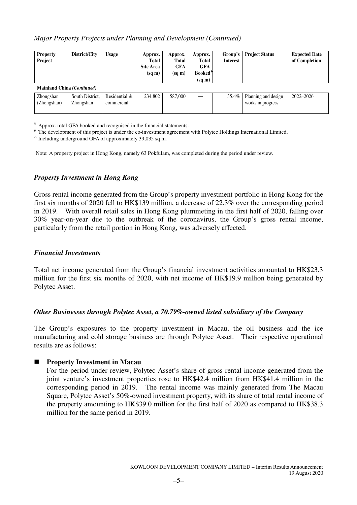# *Major Property Projects under Planning and Development (Continued)*

| <b>Property</b><br>Project | District/City                | <b>Usage</b>                | Approx.<br>Total<br>Site Area<br>$(sq \, m)$ | Approx.<br>Total<br><b>GFA</b><br>$(sq \, \text{m})$ | Approx.<br>Total<br><b>GFA</b><br>Booked <sup>*</sup><br>$(sq \, \text{m})$ | Group's<br><b>Interest</b> | <b>Project Status</b>                    | <b>Expected Date</b><br>of Completion |
|----------------------------|------------------------------|-----------------------------|----------------------------------------------|------------------------------------------------------|-----------------------------------------------------------------------------|----------------------------|------------------------------------------|---------------------------------------|
| Mainland China (Continued) |                              |                             |                                              |                                                      |                                                                             |                            |                                          |                                       |
| Zhongshan<br>(Zhongshan)   | South District,<br>Zhongshan | Residential &<br>commercial | 234,802                                      | 587,000                                              |                                                                             | 35.4%                      | Planning and design<br>works in progress | 2022-2026                             |

※ Approx. total GFA booked and recognised in the financial statements.

# The development of this project is under the co-investment agreement with Polytec Holdings International Limited.

 $\triangle$  Including underground GFA of approximately 39,035 sq m.

Note: A property project in Hong Kong, namely 63 Pokfulam, was completed during the period under review.

# *Property Investment in Hong Kong*

Gross rental income generated from the Group's property investment portfolio in Hong Kong for the first six months of 2020 fell to HK\$139 million, a decrease of 22.3% over the corresponding period in 2019. With overall retail sales in Hong Kong plummeting in the first half of 2020, falling over 30% year-on-year due to the outbreak of the coronavirus, the Group's gross rental income, particularly from the retail portion in Hong Kong, was adversely affected.

### *Financial Investments*

Total net income generated from the Group's financial investment activities amounted to HK\$23.3 million for the first six months of 2020, with net income of HK\$19.9 million being generated by Polytec Asset.

### *Other Businesses through Polytec Asset, a 70.79%-owned listed subsidiary of the Company*

The Group's exposures to the property investment in Macau, the oil business and the ice manufacturing and cold storage business are through Polytec Asset. Their respective operational results are as follows:

### **Property Investment in Macau**

For the period under review, Polytec Asset's share of gross rental income generated from the joint venture's investment properties rose to HK\$42.4 million from HK\$41.4 million in the corresponding period in 2019. The rental income was mainly generated from The Macau Square, Polytec Asset's 50%-owned investment property, with its share of total rental income of the property amounting to HK\$39.0 million for the first half of 2020 as compared to HK\$38.3 million for the same period in 2019.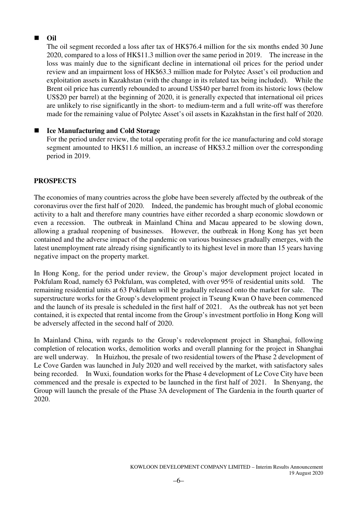# **Oil**

The oil segment recorded a loss after tax of HK\$76.4 million for the six months ended 30 June 2020, compared to a loss of HK\$11.3 million over the same period in 2019. The increase in the loss was mainly due to the significant decline in international oil prices for the period under review and an impairment loss of HK\$63.3 million made for Polytec Asset's oil production and exploitation assets in Kazakhstan (with the change in its related tax being included). While the Brent oil price has currently rebounded to around US\$40 per barrel from its historic lows (below US\$20 per barrel) at the beginning of 2020, it is generally expected that international oil prices are unlikely to rise significantly in the short- to medium-term and a full write-off was therefore made for the remaining value of Polytec Asset's oil assets in Kazakhstan in the first half of 2020.

# **Ice Manufacturing and Cold Storage**

For the period under review, the total operating profit for the ice manufacturing and cold storage segment amounted to HK\$11.6 million, an increase of HK\$3.2 million over the corresponding period in 2019.

# **PROSPECTS**

The economies of many countries across the globe have been severely affected by the outbreak of the coronavirus over the first half of 2020. Indeed, the pandemic has brought much of global economic activity to a halt and therefore many countries have either recorded a sharp economic slowdown or even a recession. The outbreak in Mainland China and Macau appeared to be slowing down, allowing a gradual reopening of businesses. However, the outbreak in Hong Kong has yet been contained and the adverse impact of the pandemic on various businesses gradually emerges, with the latest unemployment rate already rising significantly to its highest level in more than 15 years having negative impact on the property market.

In Hong Kong, for the period under review, the Group's major development project located in Pokfulam Road, namely 63 Pokfulam, was completed, with over 95% of residential units sold. The remaining residential units at 63 Pokfulam will be gradually released onto the market for sale. The superstructure works for the Group's development project in Tseung Kwan O have been commenced and the launch of its presale is scheduled in the first half of 2021. As the outbreak has not yet been contained, it is expected that rental income from the Group's investment portfolio in Hong Kong will be adversely affected in the second half of 2020.

In Mainland China, with regards to the Group's redevelopment project in Shanghai, following completion of relocation works, demolition works and overall planning for the project in Shanghai are well underway. In Huizhou, the presale of two residential towers of the Phase 2 development of Le Cove Garden was launched in July 2020 and well received by the market, with satisfactory sales being recorded. In Wuxi, foundation works for the Phase 4 development of Le Cove City have been commenced and the presale is expected to be launched in the first half of 2021. In Shenyang, the Group will launch the presale of the Phase 3A development of The Gardenia in the fourth quarter of 2020.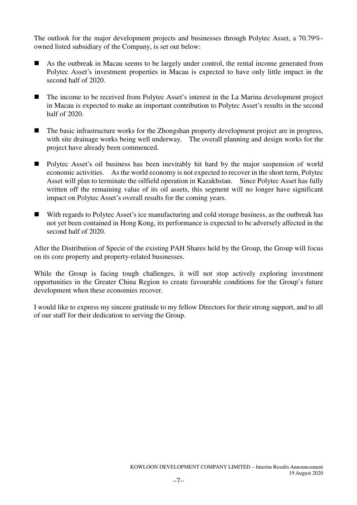The outlook for the major development projects and businesses through Polytec Asset, a 70.79% owned listed subsidiary of the Company, is set out below:

- As the outbreak in Macau seems to be largely under control, the rental income generated from Polytec Asset's investment properties in Macau is expected to have only little impact in the second half of 2020.
- The income to be received from Polytec Asset's interest in the La Marina development project in Macau is expected to make an important contribution to Polytec Asset's results in the second half of 2020.
- The basic infrastructure works for the Zhongshan property development project are in progress, with site drainage works being well underway. The overall planning and design works for the project have already been commenced.
- Polytec Asset's oil business has been inevitably hit hard by the major suspension of world economic activities. As the world economy is not expected to recover in the short term, Polytec Asset will plan to terminate the oilfield operation in Kazakhstan. Since Polytec Asset has fully written off the remaining value of its oil assets, this segment will no longer have significant impact on Polytec Asset's overall results for the coming years.
- With regards to Polytec Asset's ice manufacturing and cold storage business, as the outbreak has not yet been contained in Hong Kong, its performance is expected to be adversely affected in the second half of 2020.

After the Distribution of Specie of the existing PAH Shares held by the Group, the Group will focus on its core property and property-related businesses.

While the Group is facing tough challenges, it will not stop actively exploring investment opportunities in the Greater China Region to create favourable conditions for the Group's future development when these economies recover.

I would like to express my sincere gratitude to my fellow Directors for their strong support, and to all of our staff for their dedication to serving the Group.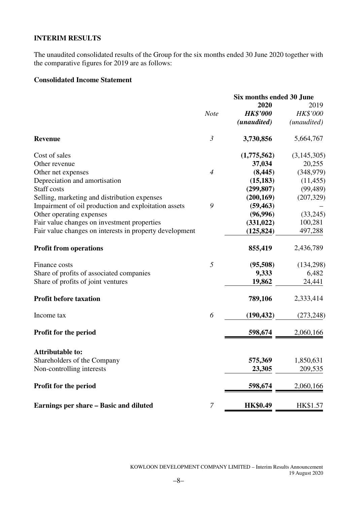# **INTERIM RESULTS**

The unaudited consolidated results of the Group for the six months ended 30 June 2020 together with the comparative figures for 2019 are as follows:

## **Consolidated Income Statement**

|                                                         |                | Six months ended 30 June |             |
|---------------------------------------------------------|----------------|--------------------------|-------------|
|                                                         |                | 2020                     | 2019        |
|                                                         | <b>Note</b>    | <b>HK\$'000</b>          | HK\$'000    |
|                                                         |                | (unaudited)              | (unaudited) |
| <b>Revenue</b>                                          | $\mathfrak{Z}$ | 3,730,856                | 5,664,767   |
| Cost of sales                                           |                | (1,775,562)              | (3,145,305) |
| Other revenue                                           |                | 37,034                   | 20,255      |
| Other net expenses                                      | $\overline{4}$ | (8, 445)                 | (348, 979)  |
| Depreciation and amortisation                           |                | (15, 183)                | (11, 455)   |
| Staff costs                                             |                | (299, 807)               | (99, 489)   |
| Selling, marketing and distribution expenses            |                | (200, 169)               | (207, 329)  |
| Impairment of oil production and exploitation assets    | 9              | (59, 463)                |             |
| Other operating expenses                                |                | (96,996)                 | (33,245)    |
| Fair value changes on investment properties             |                | (331, 022)               | 100,281     |
| Fair value changes on interests in property development |                | (125, 824)               | 497,288     |
| <b>Profit from operations</b>                           |                | 855,419                  | 2,436,789   |
| Finance costs                                           | 5              | (95,508)                 | (134,298)   |
| Share of profits of associated companies                |                | 9,333                    | 6,482       |
| Share of profits of joint ventures                      |                | 19,862                   | 24,441      |
| <b>Profit before taxation</b>                           |                | 789,106                  | 2,333,414   |
| Income tax                                              | 6              | (190, 432)               | (273, 248)  |
| <b>Profit for the period</b>                            |                | 598,674                  | 2,060,166   |
| <b>Attributable to:</b>                                 |                |                          |             |
| Shareholders of the Company                             |                | 575,369                  | 1,850,631   |
| Non-controlling interests                               |                | 23,305                   | 209,535     |
| Profit for the period                                   |                | 598,674                  | 2,060,166   |
| Earnings per share - Basic and diluted                  | $\overline{7}$ | <b>HK\$0.49</b>          | HK\$1.57    |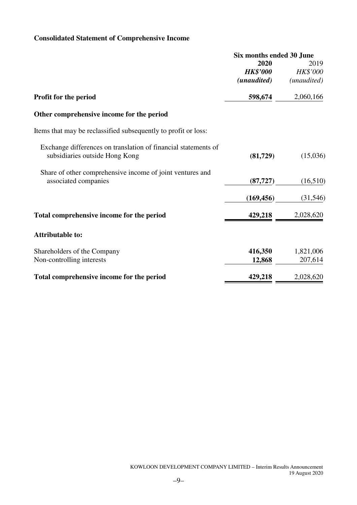# **Consolidated Statement of Comprehensive Income**

|                                                                | Six months ended 30 June |             |
|----------------------------------------------------------------|--------------------------|-------------|
|                                                                | 2020                     | 2019        |
|                                                                | <b>HK\$'000</b>          | HK\$'000    |
|                                                                | (unaudited)              | (unaudited) |
| Profit for the period                                          | 598,674                  | 2,060,166   |
| Other comprehensive income for the period                      |                          |             |
| Items that may be reclassified subsequently to profit or loss: |                          |             |
| Exchange differences on translation of financial statements of |                          |             |
| subsidiaries outside Hong Kong                                 | (81,729)                 | (15,036)    |
| Share of other comprehensive income of joint ventures and      |                          |             |
| associated companies                                           | (87, 727)                | (16,510)    |
|                                                                | (169, 456)               | (31, 546)   |
| Total comprehensive income for the period                      | 429,218                  | 2,028,620   |
| <b>Attributable to:</b>                                        |                          |             |
| Shareholders of the Company                                    | 416,350                  | 1,821,006   |
| Non-controlling interests                                      | 12,868                   | 207,614     |
| Total comprehensive income for the period                      | 429,218                  | 2,028,620   |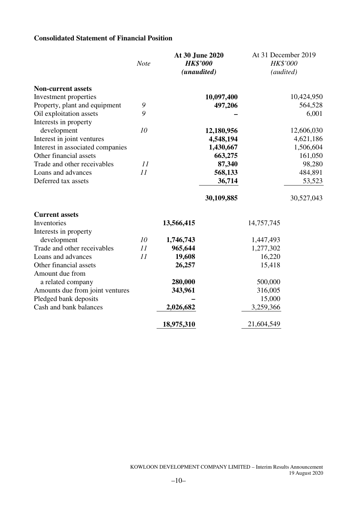# **Consolidated Statement of Financial Position**

|                                                  | <b>Note</b> |            | At 30 June 2020<br><b>HK\$'000</b><br>(unaudited) |            | At 31 December 2019<br><b>HK\$'000</b><br>(audited) |
|--------------------------------------------------|-------------|------------|---------------------------------------------------|------------|-----------------------------------------------------|
| <b>Non-current assets</b>                        |             |            |                                                   |            |                                                     |
| Investment properties                            |             |            | 10,097,400                                        |            | 10,424,950                                          |
| Property, plant and equipment                    | 9           |            | 497,206                                           |            | 564,528                                             |
| Oil exploitation assets<br>Interests in property | 9           |            |                                                   |            | 6,001                                               |
| development                                      | 10          |            | 12,180,956                                        |            | 12,606,030                                          |
| Interest in joint ventures                       |             |            | 4,548,194                                         |            | 4,621,186                                           |
| Interest in associated companies                 |             |            | 1,430,667                                         |            | 1,506,604                                           |
| Other financial assets                           |             |            | 663,275                                           |            | 161,050                                             |
| Trade and other receivables                      | 11          |            | 87,340                                            |            | 98,280                                              |
| Loans and advances                               | 11          |            | 568,133                                           |            | 484,891                                             |
| Deferred tax assets                              |             |            | 36,714                                            |            | 53,523                                              |
|                                                  |             |            | 30,109,885                                        |            | 30,527,043                                          |
| <b>Current assets</b>                            |             |            |                                                   |            |                                                     |
| Inventories                                      |             | 13,566,415 |                                                   | 14,757,745 |                                                     |
| Interests in property                            |             |            |                                                   |            |                                                     |
| development                                      | 10          | 1,746,743  |                                                   | 1,447,493  |                                                     |
| Trade and other receivables                      | 11          | 965,644    |                                                   | 1,277,302  |                                                     |
| Loans and advances                               | 11          | 19,608     |                                                   | 16,220     |                                                     |
| Other financial assets                           |             | 26,257     |                                                   | 15,418     |                                                     |
| Amount due from<br>a related company             |             | 280,000    |                                                   | 500,000    |                                                     |
| Amounts due from joint ventures                  |             | 343,961    |                                                   | 316,005    |                                                     |
| Pledged bank deposits                            |             |            |                                                   | 15,000     |                                                     |
| Cash and bank balances                           |             | 2,026,682  |                                                   | 3,259,366  |                                                     |
|                                                  |             | 18,975,310 |                                                   | 21,604,549 |                                                     |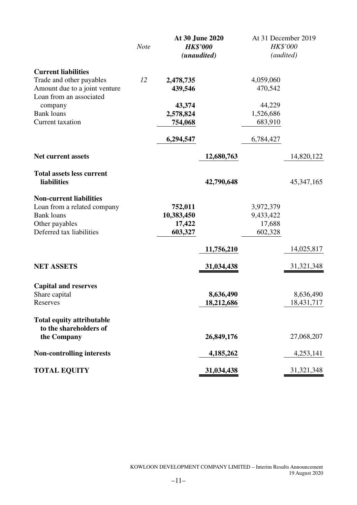|                                                            | <b>Note</b> |                     | At 30 June 2020<br><b>HK\$'000</b><br>(unaudited) |                     | At 31 December 2019<br>HK\$'000<br>(audited) |
|------------------------------------------------------------|-------------|---------------------|---------------------------------------------------|---------------------|----------------------------------------------|
| <b>Current liabilities</b>                                 |             |                     |                                                   |                     |                                              |
| Trade and other payables                                   | 12          | 2,478,735           |                                                   | 4,059,060           |                                              |
| Amount due to a joint venture                              |             | 439,546             |                                                   | 470,542             |                                              |
| Loan from an associated                                    |             |                     |                                                   |                     |                                              |
| company<br><b>Bank loans</b>                               |             | 43,374<br>2,578,824 |                                                   | 44,229<br>1,526,686 |                                              |
| Current taxation                                           |             | 754,068             |                                                   | 683,910             |                                              |
|                                                            |             |                     |                                                   |                     |                                              |
|                                                            |             | 6,294,547           |                                                   | 6,784,427           |                                              |
| <b>Net current assets</b>                                  |             |                     | 12,680,763                                        |                     | 14,820,122                                   |
| <b>Total assets less current</b><br><b>liabilities</b>     |             |                     | 42,790,648                                        |                     | 45, 347, 165                                 |
| <b>Non-current liabilities</b>                             |             |                     |                                                   |                     |                                              |
| Loan from a related company                                |             | 752,011             |                                                   | 3,972,379           |                                              |
| <b>Bank loans</b>                                          |             | 10,383,450          |                                                   | 9,433,422           |                                              |
| Other payables                                             |             | 17,422              |                                                   | 17,688              |                                              |
| Deferred tax liabilities                                   |             | 603,327             |                                                   | 602,328             |                                              |
|                                                            |             |                     | 11,756,210                                        |                     | 14,025,817                                   |
| <b>NET ASSETS</b>                                          |             |                     | 31,034,438                                        |                     | 31,321,348                                   |
|                                                            |             |                     |                                                   |                     |                                              |
| <b>Capital and reserves</b>                                |             |                     |                                                   |                     |                                              |
| Share capital                                              |             |                     | 8,636,490                                         |                     | 8,636,490                                    |
| Reserves                                                   |             |                     | 18,212,686                                        |                     | 18,431,717                                   |
| <b>Total equity attributable</b><br>to the shareholders of |             |                     |                                                   |                     |                                              |
| the Company                                                |             |                     | 26,849,176                                        |                     | 27,068,207                                   |
| <b>Non-controlling interests</b>                           |             |                     | 4,185,262                                         |                     | 4,253,141                                    |
| <b>TOTAL EQUITY</b>                                        |             |                     | 31,034,438                                        |                     | 31,321,348                                   |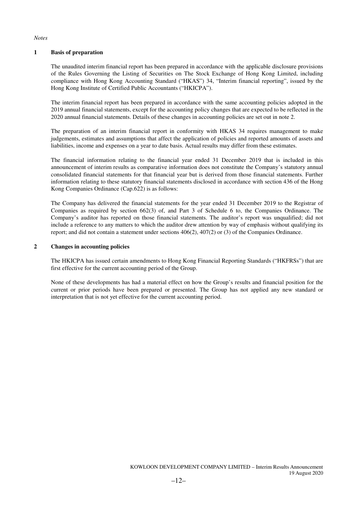#### *Notes*

#### **1 Basis of preparation**

The unaudited interim financial report has been prepared in accordance with the applicable disclosure provisions of the Rules Governing the Listing of Securities on The Stock Exchange of Hong Kong Limited, including compliance with Hong Kong Accounting Standard ("HKAS") 34, "Interim financial reporting", issued by the Hong Kong Institute of Certified Public Accountants ("HKICPA").

The interim financial report has been prepared in accordance with the same accounting policies adopted in the 2019 annual financial statements, except for the accounting policy changes that are expected to be reflected in the 2020 annual financial statements. Details of these changes in accounting policies are set out in note 2.

The preparation of an interim financial report in conformity with HKAS 34 requires management to make judgements, estimates and assumptions that affect the application of policies and reported amounts of assets and liabilities, income and expenses on a year to date basis. Actual results may differ from these estimates.

The financial information relating to the financial year ended 31 December 2019 that is included in this announcement of interim results as comparative information does not constitute the Company's statutory annual consolidated financial statements for that financial year but is derived from those financial statements. Further information relating to these statutory financial statements disclosed in accordance with section 436 of the Hong Kong Companies Ordinance (Cap.622) is as follows:

The Company has delivered the financial statements for the year ended 31 December 2019 to the Registrar of Companies as required by section 662(3) of, and Part 3 of Schedule 6 to, the Companies Ordinance. The Company's auditor has reported on those financial statements. The auditor's report was unqualified; did not include a reference to any matters to which the auditor drew attention by way of emphasis without qualifying its report; and did not contain a statement under sections 406(2), 407(2) or (3) of the Companies Ordinance.

### **2 Changes in accounting policies**

The HKICPA has issued certain amendments to Hong Kong Financial Reporting Standards ("HKFRSs") that are first effective for the current accounting period of the Group.

None of these developments has had a material effect on how the Group's results and financial position for the current or prior periods have been prepared or presented. The Group has not applied any new standard or interpretation that is not yet effective for the current accounting period.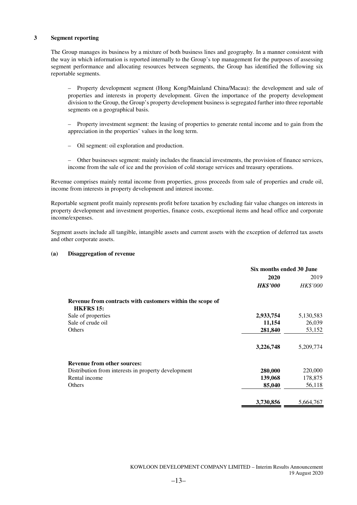### **3 Segment reporting**

The Group manages its business by a mixture of both business lines and geography. In a manner consistent with the way in which information is reported internally to the Group's top management for the purposes of assessing segment performance and allocating resources between segments, the Group has identified the following six reportable segments.

– Property development segment (Hong Kong/Mainland China/Macau): the development and sale of properties and interests in property development. Given the importance of the property development division to the Group, the Group's property development business is segregated further into three reportable segments on a geographical basis.

– Property investment segment: the leasing of properties to generate rental income and to gain from the appreciation in the properties' values in the long term.

– Oil segment: oil exploration and production.

– Other businesses segment: mainly includes the financial investments, the provision of finance services, income from the sale of ice and the provision of cold storage services and treasury operations.

Revenue comprises mainly rental income from properties, gross proceeds from sale of properties and crude oil, income from interests in property development and interest income.

Reportable segment profit mainly represents profit before taxation by excluding fair value changes on interests in property development and investment properties, finance costs, exceptional items and head office and corporate income/expenses.

Segment assets include all tangible, intangible assets and current assets with the exception of deferred tax assets and other corporate assets.

|                                                                               | Six months ended 30 June |                 |
|-------------------------------------------------------------------------------|--------------------------|-----------------|
|                                                                               | 2020                     | 2019            |
|                                                                               | <b>HK\$'000</b>          | <b>HK\$'000</b> |
| Revenue from contracts with customers within the scope of<br><b>HKFRS 15:</b> |                          |                 |
| Sale of properties                                                            | 2,933,754                | 5,130,583       |
| Sale of crude oil                                                             | 11,154                   | 26,039          |
| Others                                                                        | 281,840                  | 53,152          |
|                                                                               | 3,226,748                | 5,209,774       |
| <b>Revenue from other sources:</b>                                            |                          |                 |
| Distribution from interests in property development                           | 280,000                  | 220,000         |
| Rental income                                                                 | 139,068                  | 178,875         |
| Others                                                                        | 85,040                   | 56,118          |
|                                                                               | 3,730,856                | 5,664,767       |

#### **(a) Disaggregation of revenue**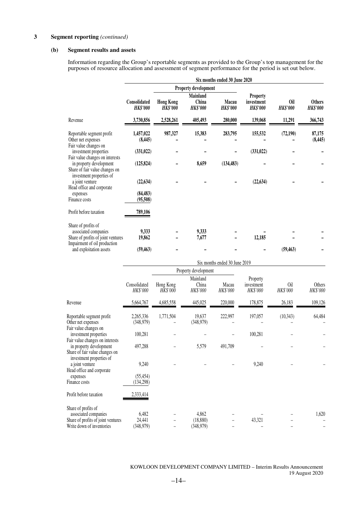### **3 Segment reporting** *(continued)*

### **(b) Segment results and assets**

Information regarding the Group's reportable segments as provided to the Group's top management for the purposes of resource allocation and assessment of segment performance for the period is set out below.

|                                                                                       |                                 |                                     |                                      | Six months ended 30 June 2020 |                                                  |                        |                                  |
|---------------------------------------------------------------------------------------|---------------------------------|-------------------------------------|--------------------------------------|-------------------------------|--------------------------------------------------|------------------------|----------------------------------|
|                                                                                       |                                 |                                     | Property development                 |                               |                                                  |                        |                                  |
|                                                                                       | Consolidated<br><b>HK\$'000</b> | <b>Hong Kong</b><br><b>HK\$'000</b> | Mainland<br>China<br><b>HK\$'000</b> | Macau<br><b>HK\$'000</b>      | <b>Property</b><br>investment<br><b>HK\$'000</b> | 0il<br><b>HK\$'000</b> | <b>Others</b><br><b>HK\$'000</b> |
| Revenue                                                                               | 3,730,856                       | 2,528,261                           | 405,493                              | 280,000                       | 139,068                                          | 11,291                 | 366,743                          |
| Reportable segment profit<br>Other net expenses<br>Fair value changes on              | 1,457,022<br>(8, 445)           | 987,327                             | 15,383                               | 283,795                       | 155,532                                          | (72, 190)              | 87,175<br>(8, 445)               |
| investment properties<br>Fair value changes on interests                              | (331, 022)                      |                                     |                                      |                               | (331, 022)                                       |                        |                                  |
| in property development<br>Share of fair value changes on<br>investment properties of | (125, 824)                      |                                     | 8,659                                | (134, 483)                    |                                                  |                        |                                  |
| a joint venture<br>Head office and corporate                                          | (22, 634)                       |                                     |                                      |                               | (22, 634)                                        |                        |                                  |
| expenses<br>Finance costs                                                             | (84, 483)<br>(95,508)           |                                     |                                      |                               |                                                  |                        |                                  |
| Profit before taxation                                                                | 789,106                         |                                     |                                      |                               |                                                  |                        |                                  |
| Share of profits of<br>associated companies<br>Share of profits of joint ventures     | 9,333<br>19,862                 |                                     | 9,333<br>7,677                       |                               | 12,185                                           |                        |                                  |
| Impairment of oil production<br>and exploitation assets                               | (59, 463)                       |                                     |                                      |                               |                                                  | (59, 463)              |                                  |

|                                                                                                                       |                                  |                       |                                 | Six months ended 30 June 2019 |                                    |                 |                    |
|-----------------------------------------------------------------------------------------------------------------------|----------------------------------|-----------------------|---------------------------------|-------------------------------|------------------------------------|-----------------|--------------------|
|                                                                                                                       |                                  | Property development  |                                 |                               |                                    |                 |                    |
|                                                                                                                       | Consolidated<br>HK\$'000         | Hong Kong<br>HK\$'000 | Mainland<br>China<br>HK\$'000   | Macau<br>HK\$'000             | Property<br>investment<br>HK\$'000 | Oil<br>HK\$'000 | Others<br>HK\$'000 |
| Revenue                                                                                                               | 5,664,767                        | 4,685,558             | 445,025                         | 220,000                       | 178,875                            | 26,183          | 109,126            |
| Reportable segment profit<br>Other net expenses<br>Fair value changes on                                              | 2,265,336<br>(348,979)           | 1,771,504             | 19,637<br>(348, 979)            | 222,997                       | 197,057                            | (10, 343)       | 64,484             |
| investment properties<br>Fair value changes on interests<br>in property development<br>Share of fair value changes on | 100,281<br>497,288               |                       | 5,579                           | 491,709                       | 100,281                            |                 |                    |
| investment properties of<br>a joint venture<br>Head office and corporate<br>expenses<br>Finance costs                 | 9,240<br>(55, 454)<br>(134, 298) |                       |                                 |                               | 9,240                              |                 |                    |
| Profit before taxation                                                                                                | 2,333,414                        |                       |                                 |                               |                                    |                 |                    |
| Share of profits of<br>associated companies<br>Share of profits of joint ventures<br>Write down of inventories        | 6,482<br>24,441<br>(348, 979)    |                       | 4,862<br>(18,880)<br>(348, 979) |                               | 43,321                             |                 | 1,620              |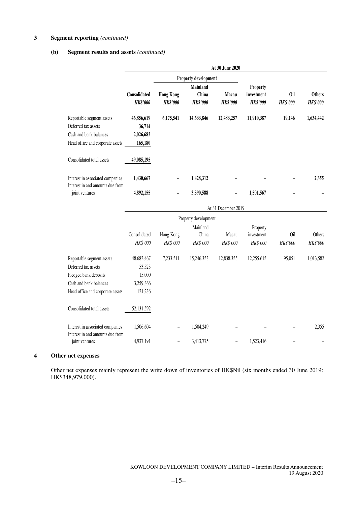### **3 Segment reporting** *(continued)*

### **(b) Segment results and assets** *(continued)*

Pledged bank deposits 15,000

|                                                                                                                |                                              |                                     |                                      | At 30 June 2020          |                                           |                               |                                  |
|----------------------------------------------------------------------------------------------------------------|----------------------------------------------|-------------------------------------|--------------------------------------|--------------------------|-------------------------------------------|-------------------------------|----------------------------------|
|                                                                                                                |                                              | Property development                |                                      |                          |                                           |                               |                                  |
|                                                                                                                | Consolidated<br><b>HK\$'000</b>              | <b>Hong Kong</b><br><b>HK\$'000</b> | Mainland<br>China<br><b>HK\$'000</b> | Macau<br><b>HK\$'000</b> | Property<br>investment<br><b>HK\$'000</b> | <b>Oil</b><br><b>HK\$'000</b> | <b>Others</b><br><b>HK\$'000</b> |
| Reportable segment assets<br>Deferred tax assets<br>Cash and bank balances<br>Head office and corporate assets | 46,856,619<br>36,714<br>2,026,682<br>165,180 | 6,175,541                           | 14,633,846                           | 12,483,257               | 11,910,387                                | 19,146                        | 1,634,442                        |
| Consolidated total assets                                                                                      | 49,085,195                                   |                                     |                                      |                          |                                           |                               |                                  |
| Interest in associated companies<br>Interest in and amounts due from                                           | 1,430,667                                    |                                     | 1,428,312                            |                          |                                           |                               | 2,355                            |
| joint ventures                                                                                                 | 4,892,155                                    |                                     | 3,390,588                            |                          | 1,501,567                                 |                               |                                  |
|                                                                                                                |                                              |                                     |                                      | At 31 December 2019      |                                           |                               |                                  |
|                                                                                                                |                                              |                                     | Property development                 |                          |                                           |                               |                                  |
|                                                                                                                |                                              |                                     | Mainland                             |                          | Property                                  |                               |                                  |
|                                                                                                                | Consolidated                                 | Hong Kong                           | China                                | Macau                    | investment                                | 0il                           | Others                           |
|                                                                                                                | HK\$'000                                     | HK\$'000                            | HK\$'000                             | HK\$'000                 | HK\$'000                                  | HK\$'000                      | HK\$'000                         |
| Reportable segment assets<br>Deferred tax assets                                                               | 48,682,467<br>53,523                         | 7,233,511                           | 15,246,353                           | 12,838,355               | 12,255,615                                | 95,051                        | 1,013,582                        |

| Cash and bank balances<br>Head office and corporate assets           | 3,259,366<br>121,236 |                          |           |           |       |
|----------------------------------------------------------------------|----------------------|--------------------------|-----------|-----------|-------|
| Consolidated total assets                                            | 52, 131, 592         |                          |           |           |       |
| Interest in associated companies<br>Interest in and amounts due from | 1.506.604            | $\overline{\phantom{0}}$ | 1.504.249 |           | 2.355 |
| joint ventures                                                       | 4,937,191            |                          | 3,413,775 | 1,523,416 |       |

### **4 Other net expenses**

Other net expenses mainly represent the write down of inventories of HK\$Nil (six months ended 30 June 2019: HK\$348,979,000).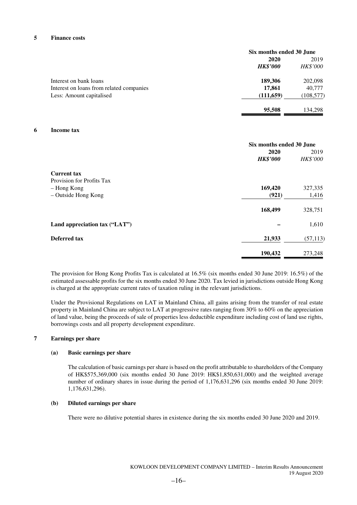#### **5 Finance costs**

|                                          | Six months ended 30 June |                 |
|------------------------------------------|--------------------------|-----------------|
|                                          | 2020                     | 2019            |
|                                          | <b>HK\$'000</b>          | <i>HK\$'000</i> |
| Interest on bank loans                   | 189,306                  | 202,098         |
| Interest on loans from related companies | 17,861                   | 40,777          |
| Less: Amount capitalised                 | (111,659)                | (108, 577)      |
|                                          | 95,508                   | 134,298         |

#### **6 Income tax**

|                               | Six months ended 30 June |           |
|-------------------------------|--------------------------|-----------|
|                               | 2020                     | 2019      |
|                               | <b>HK\$'000</b>          | HK\$'000  |
| <b>Current tax</b>            |                          |           |
| Provision for Profits Tax     |                          |           |
| - Hong Kong                   | 169,420                  | 327,335   |
| - Outside Hong Kong           | (921)                    | 1,416     |
|                               | 168,499                  | 328,751   |
| Land appreciation tax ("LAT") |                          | 1,610     |
| Deferred tax                  | 21,933                   | (57, 113) |
|                               | 190,432                  | 273,248   |

The provision for Hong Kong Profits Tax is calculated at 16.5% (six months ended 30 June 2019: 16.5%) of the estimated assessable profits for the six months ended 30 June 2020. Tax levied in jurisdictions outside Hong Kong is charged at the appropriate current rates of taxation ruling in the relevant jurisdictions.

Under the Provisional Regulations on LAT in Mainland China, all gains arising from the transfer of real estate property in Mainland China are subject to LAT at progressive rates ranging from 30% to 60% on the appreciation of land value, being the proceeds of sale of properties less deductible expenditure including cost of land use rights, borrowings costs and all property development expenditure.

#### **7 Earnings per share**

#### **(a) Basic earnings per share**

The calculation of basic earnings per share is based on the profit attributable to shareholders of the Company of HK\$575,369,000 (six months ended 30 June 2019: HK\$1,850,631,000) and the weighted average number of ordinary shares in issue during the period of 1,176,631,296 (six months ended 30 June 2019: 1,176,631,296).

#### **(b) Diluted earnings per share**

There were no dilutive potential shares in existence during the six months ended 30 June 2020 and 2019.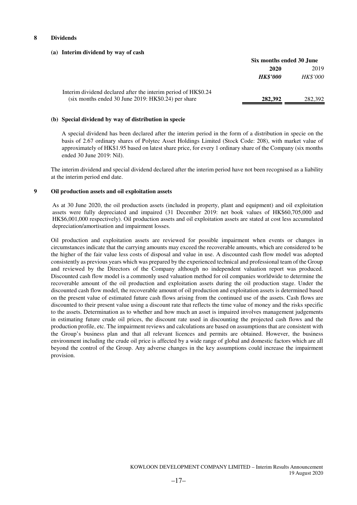#### **8 Dividends**

#### **(a) Interim dividend by way of cash**

|                                                                | Six months ended 30 June |                 |
|----------------------------------------------------------------|--------------------------|-----------------|
|                                                                | 2020                     | 2019            |
|                                                                | <b>HK\$'000</b>          | <b>HK\$'000</b> |
| Interim dividend declared after the interim period of HK\$0.24 |                          |                 |
| $(six$ months ended 30 June 2019: HK\$0.24) per share          | 282,392                  | 282,392         |

#### **(b) Special dividend by way of distribution in specie**

A special dividend has been declared after the interim period in the form of a distribution in specie on the basis of 2.67 ordinary shares of Polytec Asset Holdings Limited (Stock Code: 208), with market value of approximately of HK\$1.95 based on latest share price, for every 1 ordinary share of the Company (six months ended 30 June 2019: Nil).

The interim dividend and special dividend declared after the interim period have not been recognised as a liability at the interim period end date.

#### **9 Oil production assets and oil exploitation assets**

As at 30 June 2020, the oil production assets (included in property, plant and equipment) and oil exploitation assets were fully depreciated and impaired (31 December 2019: net book values of HK\$60,705,000 and HK\$6,001,000 respectively). Oil production assets and oil exploitation assets are stated at cost less accumulated depreciation/amortisation and impairment losses.

Oil production and exploitation assets are reviewed for possible impairment when events or changes in circumstances indicate that the carrying amounts may exceed the recoverable amounts, which are considered to be the higher of the fair value less costs of disposal and value in use. A discounted cash flow model was adopted consistently as previous years which was prepared by the experienced technical and professional team of the Group and reviewed by the Directors of the Company although no independent valuation report was produced. Discounted cash flow model is a commonly used valuation method for oil companies worldwide to determine the recoverable amount of the oil production and exploitation assets during the oil production stage. Under the discounted cash flow model, the recoverable amount of oil production and exploitation assets is determined based on the present value of estimated future cash flows arising from the continued use of the assets. Cash flows are discounted to their present value using a discount rate that reflects the time value of money and the risks specific to the assets. Determination as to whether and how much an asset is impaired involves management judgements in estimating future crude oil prices, the discount rate used in discounting the projected cash flows and the production profile, etc. The impairment reviews and calculations are based on assumptions that are consistent with the Group's business plan and that all relevant licences and permits are obtained. However, the business environment including the crude oil price is affected by a wide range of global and domestic factors which are all beyond the control of the Group. Any adverse changes in the key assumptions could increase the impairment provision.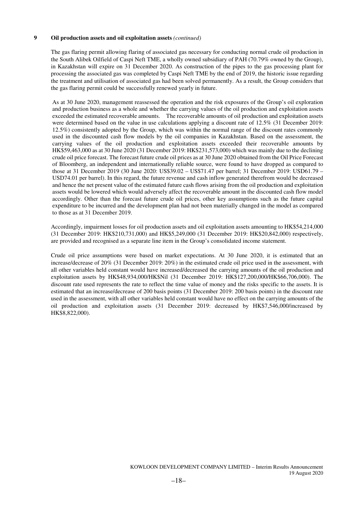#### **9 Oil production assets and oil exploitation assets** *(continued)*

The gas flaring permit allowing flaring of associated gas necessary for conducting normal crude oil production in the South Alibek Oilfield of Caspi Neft TME, a wholly owned subsidiary of PAH (70.79% owned by the Group), in Kazakhstan will expire on 31 December 2020. As construction of the pipes to the gas processing plant for processing the associated gas was completed by Caspi Neft TME by the end of 2019, the historic issue regarding the treatment and utilisation of associated gas had been solved permanently. As a result, the Group considers that the gas flaring permit could be successfully renewed yearly in future.

As at 30 June 2020, management reassessed the operation and the risk exposures of the Group's oil exploration and production business as a whole and whether the carrying values of the oil production and exploitation assets exceeded the estimated recoverable amounts. The recoverable amounts of oil production and exploitation assets were determined based on the value in use calculations applying a discount rate of 12.5% (31 December 2019: 12.5%) consistently adopted by the Group, which was within the normal range of the discount rates commonly used in the discounted cash flow models by the oil companies in Kazakhstan. Based on the assessment, the carrying values of the oil production and exploitation assets exceeded their recoverable amounts by HK\$59,463,000 as at 30 June 2020 (31 December 2019: HK\$231,573,000) which was mainly due to the declining crude oil price forecast. The forecast future crude oil prices as at 30 June 2020 obtained from the Oil Price Forecast of Bloomberg, an independent and internationally reliable source, were found to have dropped as compared to those at 31 December 2019 (30 June 2020: US\$39.02 – US\$71.47 per barrel; 31 December 2019: USD61.79 – USD74.01 per barrel). In this regard, the future revenue and cash inflow generated therefrom would be decreased and hence the net present value of the estimated future cash flows arising from the oil production and exploitation assets would be lowered which would adversely affect the recoverable amount in the discounted cash flow model accordingly. Other than the forecast future crude oil prices, other key assumptions such as the future capital expenditure to be incurred and the development plan had not been materially changed in the model as compared to those as at 31 December 2019.

Accordingly, impairment losses for oil production assets and oil exploitation assets amounting to HK\$54,214,000 (31 December 2019: HK\$210,731,000) and HK\$5,249,000 (31 December 2019: HK\$20,842,000) respectively, are provided and recognised as a separate line item in the Group's consolidated income statement.

Crude oil price assumptions were based on market expectations. At 30 June 2020, it is estimated that an increase/decrease of 20% (31 December 2019: 20%) in the estimated crude oil price used in the assessment, with all other variables held constant would have increased/decreased the carrying amounts of the oil production and exploitation assets by HK\$48,934,000/HK\$Nil (31 December 2019: HK\$127,200,000/HK\$66,706,000). The discount rate used represents the rate to reflect the time value of money and the risks specific to the assets. It is estimated that an increase/decrease of 200 basis points (31 December 2019: 200 basis points) in the discount rate used in the assessment, with all other variables held constant would have no effect on the carrying amounts of the oil production and exploitation assets (31 December 2019: decreased by HK\$7,546,000/increased by HK\$8,822,000).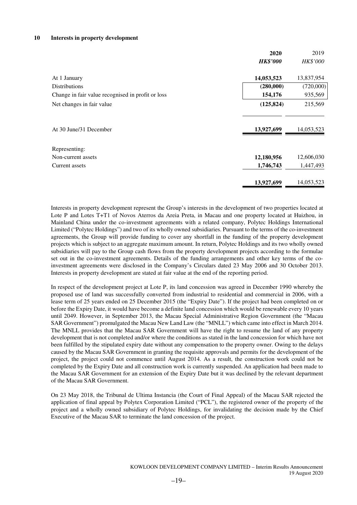#### **10 Interests in property development**

|                                                   | 2020            | 2019            |
|---------------------------------------------------|-----------------|-----------------|
|                                                   | <b>HK\$'000</b> | <b>HK\$'000</b> |
| At 1 January                                      | 14,053,523      | 13,837,954      |
| <b>Distributions</b>                              | (280,000)       | (720,000)       |
| Change in fair value recognised in profit or loss | 154,176         | 935,569         |
| Net changes in fair value                         | (125, 824)      | 215,569         |
| At 30 June/31 December                            | 13,927,699      | 14,053,523      |
| Representing:                                     |                 |                 |
| Non-current assets                                | 12,180,956      | 12,606,030      |
| Current assets                                    | 1,746,743       | 1,447,493       |
|                                                   | 13,927,699      | 14,053,523      |

Interests in property development represent the Group's interests in the development of two properties located at Lote P and Lotes T+T1 of Novos Aterros da Areia Preta, in Macau and one property located at Huizhou, in Mainland China under the co-investment agreements with a related company, Polytec Holdings International Limited ("Polytec Holdings") and two of its wholly owned subsidiaries. Pursuant to the terms of the co-investment agreements, the Group will provide funding to cover any shortfall in the funding of the property development projects which is subject to an aggregate maximum amount. In return, Polytec Holdings and its two wholly owned subsidiaries will pay to the Group cash flows from the property development projects according to the formulae set out in the co-investment agreements. Details of the funding arrangements and other key terms of the coinvestment agreements were disclosed in the Company's Circulars dated 23 May 2006 and 30 October 2013. Interests in property development are stated at fair value at the end of the reporting period.

In respect of the development project at Lote P, its land concession was agreed in December 1990 whereby the proposed use of land was successfully converted from industrial to residential and commercial in 2006, with a lease term of 25 years ended on 25 December 2015 (the "Expiry Date"). If the project had been completed on or before the Expiry Date, it would have become a definite land concession which would be renewable every 10 years until 2049. However, in September 2013, the Macau Special Administrative Region Government (the "Macau SAR Government") promulgated the Macau New Land Law (the "MNLL") which came into effect in March 2014. The MNLL provides that the Macau SAR Government will have the right to resume the land of any property development that is not completed and/or where the conditions as stated in the land concession for which have not been fulfilled by the stipulated expiry date without any compensation to the property owner. Owing to the delays caused by the Macau SAR Government in granting the requisite approvals and permits for the development of the project, the project could not commence until August 2014. As a result, the construction work could not be completed by the Expiry Date and all construction work is currently suspended. An application had been made to the Macau SAR Government for an extension of the Expiry Date but it was declined by the relevant department of the Macau SAR Government.

On 23 May 2018, the Tribunal de Ultima Instancia (the Court of Final Appeal) of the Macau SAR rejected the application of final appeal by Polytex Corporation Limited ("PCL"), the registered owner of the property of the project and a wholly owned subsidiary of Polytec Holdings, for invalidating the decision made by the Chief Executive of the Macau SAR to terminate the land concession of the project.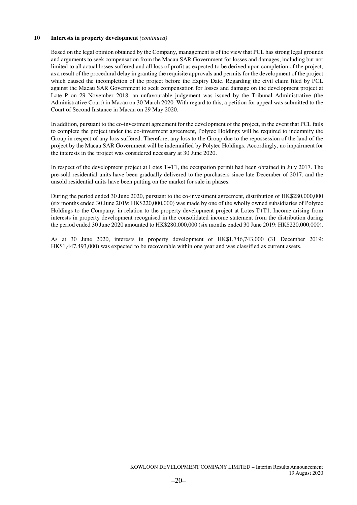#### **10 Interests in property development** *(continued)*

Based on the legal opinion obtained by the Company, management is of the view that PCL has strong legal grounds and arguments to seek compensation from the Macau SAR Government for losses and damages, including but not limited to all actual losses suffered and all loss of profit as expected to be derived upon completion of the project, as a result of the procedural delay in granting the requisite approvals and permits for the development of the project which caused the incompletion of the project before the Expiry Date. Regarding the civil claim filed by PCL against the Macau SAR Government to seek compensation for losses and damage on the development project at Lote P on 29 November 2018, an unfavourable judgement was issued by the Tribunal Administrative (the Administrative Court) in Macau on 30 March 2020. With regard to this, a petition for appeal was submitted to the Court of Second Instance in Macau on 29 May 2020.

In addition, pursuant to the co-investment agreement for the development of the project, in the event that PCL fails to complete the project under the co-investment agreement, Polytec Holdings will be required to indemnify the Group in respect of any loss suffered. Therefore, any loss to the Group due to the repossession of the land of the project by the Macau SAR Government will be indemnified by Polytec Holdings. Accordingly, no impairment for the interests in the project was considered necessary at 30 June 2020.

In respect of the development project at Lotes T+T1, the occupation permit had been obtained in July 2017. The pre-sold residential units have been gradually delivered to the purchasers since late December of 2017, and the unsold residential units have been putting on the market for sale in phases.

During the period ended 30 June 2020, pursuant to the co-investment agreement, distribution of HK\$280,000,000 (six months ended 30 June 2019: HK\$220,000,000) was made by one of the wholly owned subsidiaries of Polytec Holdings to the Company, in relation to the property development project at Lotes T+T1. Income arising from interests in property development recognised in the consolidated income statement from the distribution during the period ended 30 June 2020 amounted to HK\$280,000,000 (six months ended 30 June 2019: HK\$220,000,000).

As at 30 June 2020, interests in property development of HK\$1,746,743,000 (31 December 2019: HK\$1,447,493,000) was expected to be recoverable within one year and was classified as current assets.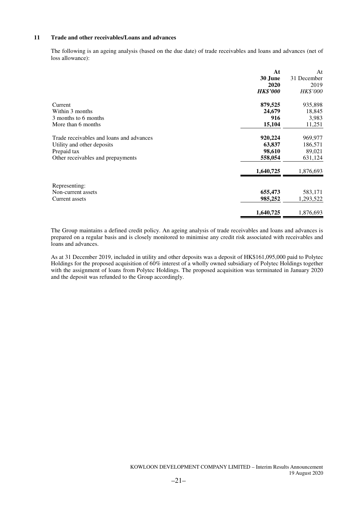#### **11 Trade and other receivables/Loans and advances**

The following is an ageing analysis (based on the due date) of trade receivables and loans and advances (net of loss allowance):

|                                          | At              | At          |
|------------------------------------------|-----------------|-------------|
|                                          | 30 June         | 31 December |
|                                          | 2020            | 2019        |
|                                          | <b>HK\$'000</b> | HK\$'000    |
| Current                                  | 879,525         | 935,898     |
| Within 3 months                          | 24,679          | 18,845      |
| 3 months to 6 months                     | 916             | 3,983       |
| More than 6 months                       | 15,104          | 11,251      |
| Trade receivables and loans and advances | 920,224         | 969,977     |
| Utility and other deposits               | 63,837          | 186,571     |
| Prepaid tax                              | 98,610          | 89,021      |
| Other receivables and prepayments        | 558,054         | 631,124     |
|                                          | 1,640,725       | 1,876,693   |
| Representing:                            |                 |             |
| Non-current assets                       | 655,473         | 583,171     |
| Current assets                           | 985,252         | 1,293,522   |
|                                          | 1,640,725       | 1,876,693   |

The Group maintains a defined credit policy. An ageing analysis of trade receivables and loans and advances is prepared on a regular basis and is closely monitored to minimise any credit risk associated with receivables and loans and advances.

As at 31 December 2019, included in utility and other deposits was a deposit of HK\$161,095,000 paid to Polytec Holdings for the proposed acquisition of 60% interest of a wholly owned subsidiary of Polytec Holdings together with the assignment of loans from Polytec Holdings. The proposed acquisition was terminated in January 2020 and the deposit was refunded to the Group accordingly.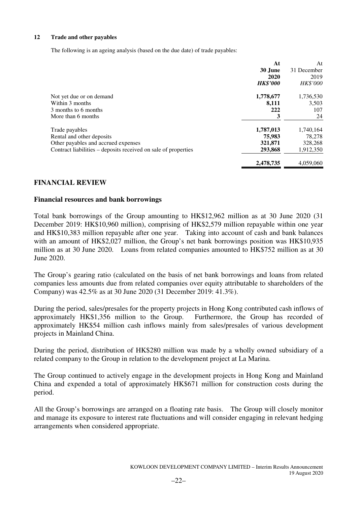### **12 Trade and other payables**

The following is an ageing analysis (based on the due date) of trade payables:

| At                                                                        | At              |
|---------------------------------------------------------------------------|-----------------|
| 30 June                                                                   | 31 December     |
| 2020                                                                      | 2019            |
| <b>HK\$'000</b>                                                           | <b>HK\$'000</b> |
| 1,778,677<br>Not yet due or on demand                                     | 1,736,530       |
| Within 3 months<br>8,111                                                  | 3,503           |
| 3 months to 6 months<br>222                                               | 107             |
| 3<br>More than 6 months                                                   | 24              |
| 1,787,013<br>Trade payables                                               | 1,740,164       |
| 75,983<br>Rental and other deposits                                       | 78,278          |
| Other payables and accrued expenses<br>321,871                            | 328,268         |
| Contract liabilities – deposits received on sale of properties<br>293,868 | 1,912,350       |
| 2,478,735                                                                 | 4,059,060       |

### **FINANCIAL REVIEW**

### **Financial resources and bank borrowings**

Total bank borrowings of the Group amounting to HK\$12,962 million as at 30 June 2020 (31 December 2019: HK\$10,960 million), comprising of HK\$2,579 million repayable within one year and HK\$10,383 million repayable after one year. Taking into account of cash and bank balances with an amount of HK\$2,027 million, the Group's net bank borrowings position was HK\$10,935 million as at 30 June 2020. Loans from related companies amounted to HK\$752 million as at 30 June 2020.

The Group's gearing ratio (calculated on the basis of net bank borrowings and loans from related companies less amounts due from related companies over equity attributable to shareholders of the Company) was 42.5% as at 30 June 2020 (31 December 2019: 41.3%).

During the period, sales/presales for the property projects in Hong Kong contributed cash inflows of approximately HK\$1,356 million to the Group. Furthermore, the Group has recorded of approximately HK\$54 million cash inflows mainly from sales/presales of various development projects in Mainland China.

During the period, distribution of HK\$280 million was made by a wholly owned subsidiary of a related company to the Group in relation to the development project at La Marina.

The Group continued to actively engage in the development projects in Hong Kong and Mainland China and expended a total of approximately HK\$671 million for construction costs during the period.

All the Group's borrowings are arranged on a floating rate basis. The Group will closely monitor and manage its exposure to interest rate fluctuations and will consider engaging in relevant hedging arrangements when considered appropriate.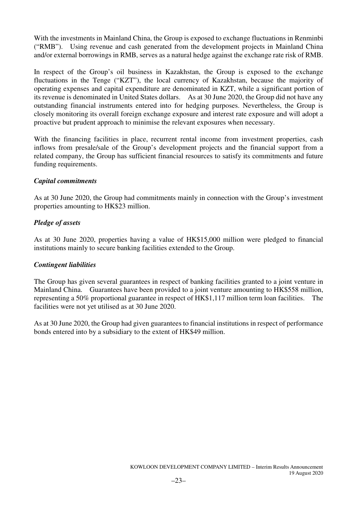With the investments in Mainland China, the Group is exposed to exchange fluctuations in Renminbi ("RMB"). Using revenue and cash generated from the development projects in Mainland China and/or external borrowings in RMB, serves as a natural hedge against the exchange rate risk of RMB.

In respect of the Group's oil business in Kazakhstan, the Group is exposed to the exchange fluctuations in the Tenge ("KZT"), the local currency of Kazakhstan, because the majority of operating expenses and capital expenditure are denominated in KZT, while a significant portion of its revenue is denominated in United States dollars. As at 30 June 2020, the Group did not have any outstanding financial instruments entered into for hedging purposes. Nevertheless, the Group is closely monitoring its overall foreign exchange exposure and interest rate exposure and will adopt a proactive but prudent approach to minimise the relevant exposures when necessary.

With the financing facilities in place, recurrent rental income from investment properties, cash inflows from presale/sale of the Group's development projects and the financial support from a related company, the Group has sufficient financial resources to satisfy its commitments and future funding requirements.

# *Capital commitments*

As at 30 June 2020, the Group had commitments mainly in connection with the Group's investment properties amounting to HK\$23 million.

# *Pledge of assets*

As at 30 June 2020, properties having a value of HK\$15,000 million were pledged to financial institutions mainly to secure banking facilities extended to the Group.

# *Contingent liabilities*

The Group has given several guarantees in respect of banking facilities granted to a joint venture in Mainland China. Guarantees have been provided to a joint venture amounting to HK\$558 million, representing a 50% proportional guarantee in respect of HK\$1,117 million term loan facilities. The facilities were not yet utilised as at 30 June 2020.

As at 30 June 2020, the Group had given guarantees to financial institutions in respect of performance bonds entered into by a subsidiary to the extent of HK\$49 million.